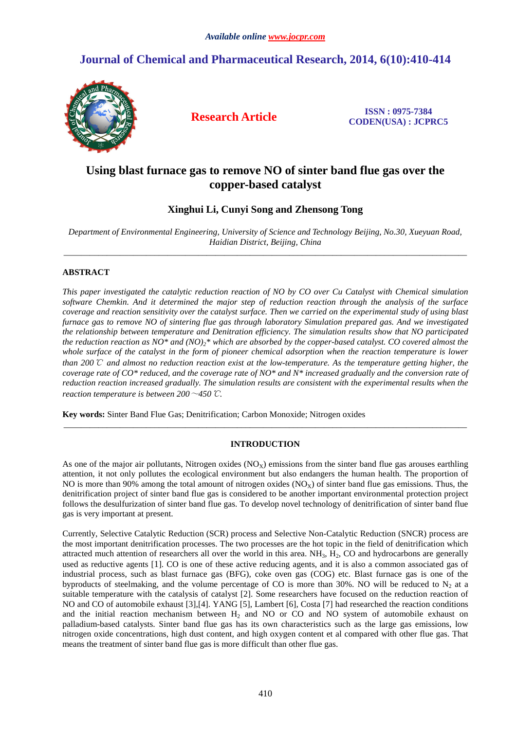# **Journal of Chemical and Pharmaceutical Research, 2014, 6(10):410-414**



**Research Article ISSN : 0975-7384 CODEN(USA) : JCPRC5**

## **Using blast furnace gas to remove NO of sinter band flue gas over the copper-based catalyst**

## **Xinghui Li, Cunyi Song and Zhensong Tong**

*Department of Environmental Engineering, University of Science and Technology Beijing, No.30, Xueyuan Road, Haidian District, Beijing, China*  \_\_\_\_\_\_\_\_\_\_\_\_\_\_\_\_\_\_\_\_\_\_\_\_\_\_\_\_\_\_\_\_\_\_\_\_\_\_\_\_\_\_\_\_\_\_\_\_\_\_\_\_\_\_\_\_\_\_\_\_\_\_\_\_\_\_\_\_\_\_\_\_\_\_\_\_\_\_\_\_\_\_\_\_\_\_\_\_\_\_\_\_\_

## **ABSTRACT**

*This paper investigated the catalytic reduction reaction of NO by CO over Cu Catalyst with Chemical simulation software Chemkin. And it determined the major step of reduction reaction through the analysis of the surface coverage and reaction sensitivity over the catalyst surface. Then we carried on the experimental study of using blast furnace gas to remove NO of sintering flue gas through laboratory Simulation prepared gas. And we investigated the relationship between temperature and Denitration efficiency. The simulation results show that NO participated the reduction reaction as NO\* and (NO)2\* which are absorbed by the copper-based catalyst. CO covered almost the whole surface of the catalyst in the form of pioneer chemical adsorption when the reaction temperature is lower than 200*℃ *and almost no reduction reaction exist at the low-temperature. As the temperature getting higher, the coverage rate of CO\* reduced, and the coverage rate of NO\* and N\* increased gradually and the conversion rate of reduction reaction increased gradually. The simulation results are consistent with the experimental results when the reaction temperature is between 200*~*450*℃*.* 

**Key words:** Sinter Band Flue Gas; Denitrification; Carbon Monoxide; Nitrogen oxides

## **INTRODUCTION**

\_\_\_\_\_\_\_\_\_\_\_\_\_\_\_\_\_\_\_\_\_\_\_\_\_\_\_\_\_\_\_\_\_\_\_\_\_\_\_\_\_\_\_\_\_\_\_\_\_\_\_\_\_\_\_\_\_\_\_\_\_\_\_\_\_\_\_\_\_\_\_\_\_\_\_\_\_\_\_\_\_\_\_\_\_\_\_\_\_\_\_\_\_

As one of the major air pollutants, Nitrogen oxides  $(NO<sub>X</sub>)$  emissions from the sinter band flue gas arouses earthling attention, it not only pollutes the ecological environment but also endangers the human health. The proportion of NO is more than 90% among the total amount of nitrogen oxides  $(NO_x)$  of sinter band flue gas emissions. Thus, the denitrification project of sinter band flue gas is considered to be another important environmental protection project follows the desulfurization of sinter band flue gas. To develop novel technology of denitrification of sinter band flue gas is very important at present.

Currently, Selective Catalytic Reduction (SCR) process and Selective Non-Catalytic Reduction (SNCR) process are the most important denitrification processes. The two processes are the hot topic in the field of denitrification which attracted much attention of researchers all over the world in this area.  $NH_3$ ,  $H_2$ , CO and hydrocarbons are generally used as reductive agents [1]. CO is one of these active reducing agents, and it is also a common associated gas of industrial process, such as blast furnace gas (BFG), coke oven gas (COG) etc. Blast furnace gas is one of the byproducts of steelmaking, and the volume percentage of CO is more than 30%. NO will be reduced to  $N_2$  at a suitable temperature with the catalysis of catalyst [2]. Some researchers have focused on the reduction reaction of NO and CO of automobile exhaust [3],[4]. YANG [5], Lambert [6], Costa [7] had researched the reaction conditions and the initial reaction mechanism between  $H_2$  and NO or CO and NO system of automobile exhaust on palladium-based catalysts. Sinter band flue gas has its own characteristics such as the large gas emissions, low nitrogen oxide concentrations, high dust content, and high oxygen content et al compared with other flue gas. That means the treatment of sinter band flue gas is more difficult than other flue gas.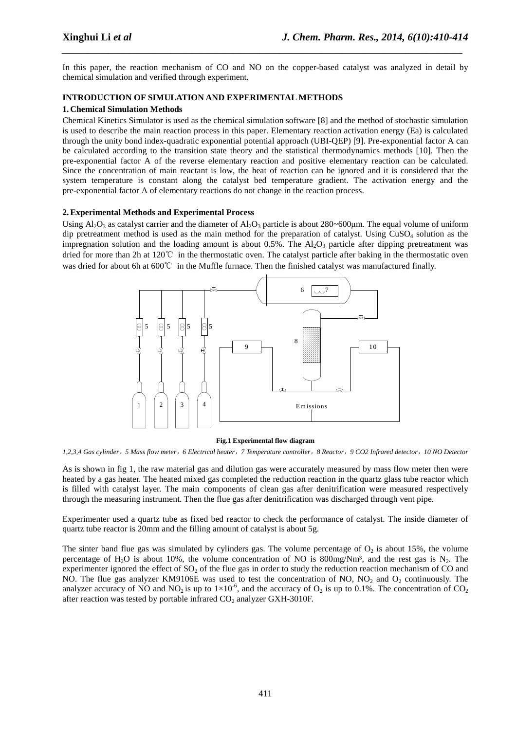In this paper, the reaction mechanism of CO and NO on the copper-based catalyst was analyzed in detail by chemical simulation and verified through experiment.

*\_\_\_\_\_\_\_\_\_\_\_\_\_\_\_\_\_\_\_\_\_\_\_\_\_\_\_\_\_\_\_\_\_\_\_\_\_\_\_\_\_\_\_\_\_\_\_\_\_\_\_\_\_\_\_\_\_\_\_\_\_\_\_\_\_\_\_\_\_\_\_\_\_\_\_\_\_*

## **INTRODUCTION OF SIMULATION AND EXPERIMENTAL METHODS**

#### **1. Chemical Simulation Methods**

Chemical Kinetics Simulator is used as the chemical simulation software [8] and the method of stochastic simulation is used to describe the main reaction process in this paper. Elementary reaction activation energy (Ea) is calculated through the unity bond index-quadratic exponential potential approach (UBI-QEP) [9]. Pre-exponential factor A can be calculated according to the transition state theory and the statistical thermodynamics methods [10]. Then the pre-exponential factor A of the reverse elementary reaction and positive elementary reaction can be calculated. Since the concentration of main reactant is low, the heat of reaction can be ignored and it is considered that the system temperature is constant along the catalyst bed temperature gradient. The activation energy and the pre-exponential factor A of elementary reactions do not change in the reaction process.

#### **2.Experimental Methods and Experimental Process**

Using  $Al_2O_3$  as catalyst carrier and the diameter of  $Al_2O_3$  particle is about 280~600µm. The equal volume of uniform dip pretreatment method is used as the main method for the preparation of catalyst. Using  $CuSO<sub>4</sub>$  solution as the impregnation solution and the loading amount is about  $0.5\%$ . The  $Al_2O_3$  particle after dipping pretreatment was dried for more than 2h at 120℃ in the thermostatic oven. The catalyst particle after baking in the thermostatic oven was dried for about 6h at 600℃ in the Muffle furnace. Then the finished catalyst was manufactured finally.



#### **Fig.1 Experimental flow diagram**

*1,2,3,4 Gas cylinder*,*5 Mass flow meter*,*6 Electrical heater*,*7 Temperature controller*,*8 Reactor*,*9 CO2 Infrared detector*,*10 NO Detector* 

As is shown in fig 1, the raw material gas and dilution gas were accurately measured by mass flow meter then were heated by a gas heater. The heated mixed gas completed the reduction reaction in the quartz glass tube reactor which is filled with catalyst layer. The main components of clean gas after denitrification were measured respectively through the measuring instrument. Then the flue gas after denitrification was discharged through vent pipe.

Experimenter used a quartz tube as fixed bed reactor to check the performance of catalyst. The inside diameter of quartz tube reactor is 20mm and the filling amount of catalyst is about 5g.

The sinter band flue gas was simulated by cylinders gas. The volume percentage of  $O_2$  is about 15%, the volume percentage of H<sub>2</sub>O is about 10%, the volume concentration of NO is  $800mg/Nm<sup>3</sup>$ , and the rest gas is N<sub>2</sub>. The experimenter ignored the effect of  $SO<sub>2</sub>$  of the flue gas in order to study the reduction reaction mechanism of CO and NO. The flue gas analyzer KM9106E was used to test the concentration of NO, NO<sub>2</sub> and O<sub>2</sub> continuously. The analyzer accuracy of NO and NO<sub>2</sub> is up to  $1\times10^{-6}$ , and the accuracy of O<sub>2</sub> is up to 0.1%. The concentration of CO<sub>2</sub> after reaction was tested by portable infrared  $CO<sub>2</sub>$  analyzer GXH-3010F.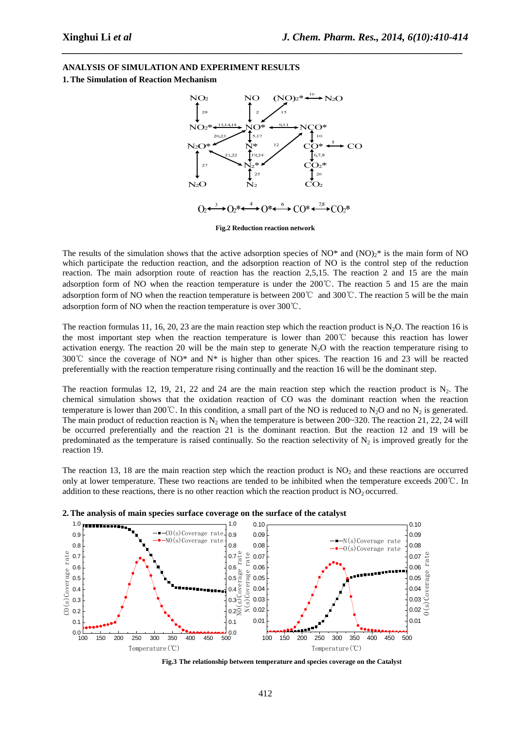## **ANALYSIS OF SIMULATION AND EXPERIMENT RESULTS**

**1.The Simulation of Reaction Mechanism** 



*\_\_\_\_\_\_\_\_\_\_\_\_\_\_\_\_\_\_\_\_\_\_\_\_\_\_\_\_\_\_\_\_\_\_\_\_\_\_\_\_\_\_\_\_\_\_\_\_\_\_\_\_\_\_\_\_\_\_\_\_\_\_\_\_\_\_\_\_\_\_\_\_\_\_\_\_\_*

**Fig.2 Reduction reaction network** 

The results of the simulation shows that the active adsorption species of  $NO^*$  and  $(NO)<sup>2</sup>$  is the main form of NO which participate the reduction reaction, and the adsorption reaction of NO is the control step of the reduction reaction. The main adsorption route of reaction has the reaction 2,5,15. The reaction 2 and 15 are the main adsorption form of NO when the reaction temperature is under the 200℃. The reaction 5 and 15 are the main adsorption form of NO when the reaction temperature is between 200℃ and 300℃. The reaction 5 will be the main adsorption form of NO when the reaction temperature is over 300℃.

The reaction formulas 11, 16, 20, 23 are the main reaction step which the reaction product is N<sub>2</sub>O. The reaction 16 is the most important step when the reaction temperature is lower than 200℃ because this reaction has lower activation energy. The reaction 20 will be the main step to generate  $N<sub>2</sub>O$  with the reaction temperature rising to 300℃ since the coverage of NO\* and N\* is higher than other spices. The reaction 16 and 23 will be reacted preferentially with the reaction temperature rising continually and the reaction 16 will be the dominant step.

The reaction formulas 12, 19, 21, 22 and 24 are the main reaction step which the reaction product is  $N_2$ . The chemical simulation shows that the oxidation reaction of CO was the dominant reaction when the reaction temperature is lower than 200℃. In this condition, a small part of the NO is reduced to N<sub>2</sub>O and no N<sub>2</sub> is generated. The main product of reduction reaction is  $N_2$  when the temperature is between 200~320. The reaction 21, 22, 24 will be occurred preferentially and the reaction 21 is the dominant reaction. But the reaction 12 and 19 will be predominated as the temperature is raised continually. So the reaction selectivity of  $N_2$  is improved greatly for the reaction 19.

The reaction 13, 18 are the main reaction step which the reaction product is  $NO<sub>2</sub>$  and these reactions are occurred only at lower temperature. These two reactions are tended to be inhibited when the temperature exceeds 200℃. In addition to these reactions, there is no other reaction which the reaction product is  $NO<sub>2</sub>$  occurred.





**Fig.3 The relationship between temperature and species coverage on the Catalyst**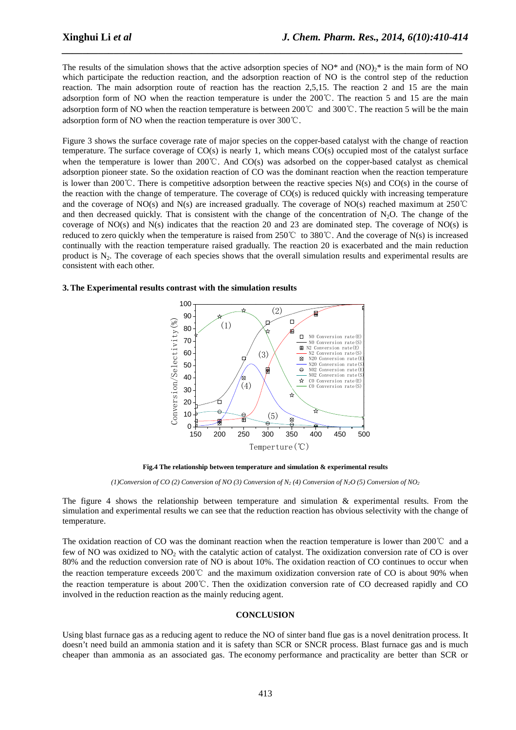The results of the simulation shows that the active adsorption species of  $NO^*$  and  $(NO)<sup>*</sup>$  is the main form of NO which participate the reduction reaction, and the adsorption reaction of NO is the control step of the reduction reaction. The main adsorption route of reaction has the reaction 2,5,15. The reaction 2 and 15 are the main adsorption form of NO when the reaction temperature is under the 200℃. The reaction 5 and 15 are the main adsorption form of NO when the reaction temperature is between 200℃ and 300℃. The reaction 5 will be the main adsorption form of NO when the reaction temperature is over 300℃.

*\_\_\_\_\_\_\_\_\_\_\_\_\_\_\_\_\_\_\_\_\_\_\_\_\_\_\_\_\_\_\_\_\_\_\_\_\_\_\_\_\_\_\_\_\_\_\_\_\_\_\_\_\_\_\_\_\_\_\_\_\_\_\_\_\_\_\_\_\_\_\_\_\_\_\_\_\_*

Figure 3 shows the surface coverage rate of major species on the copper-based catalyst with the change of reaction temperature. The surface coverage of CO(s) is nearly 1, which means CO(s) occupied most of the catalyst surface when the temperature is lower than 200°C. And CO(s) was adsorbed on the copper-based catalyst as chemical adsorption pioneer state. So the oxidation reaction of CO was the dominant reaction when the reaction temperature is lower than 200℃. There is competitive adsorption between the reactive species N(s) and CO(s) in the course of the reaction with the change of temperature. The coverage of  $CO(s)$  is reduced quickly with increasing temperature and the coverage of NO(s) and N(s) are increased gradually. The coverage of NO(s) reached maximum at 250℃ and then decreased quickly. That is consistent with the change of the concentration of  $N_2O$ . The change of the coverage of NO(s) and N(s) indicates that the reaction 20 and 23 are dominated step. The coverage of NO(s) is reduced to zero quickly when the temperature is raised from 250℃ to 380℃. And the coverage of N(s) is increased continually with the reaction temperature raised gradually. The reaction 20 is exacerbated and the main reduction product is  $N_2$ . The coverage of each species shows that the overall simulation results and experimental results are consistent with each other.

#### **3.The Experimental results contrast with the simulation results**



**Fig.4 The relationship between temperature and simulation & experimental results** 

(1) Conversion of CO (2) Conversion of NO (3) Conversion of N<sub>2</sub> (4) Conversion of N<sub>2</sub>O (5) Conversion of N<sub>O</sub><sub>2</sub>

The figure 4 shows the relationship between temperature and simulation & experimental results. From the simulation and experimental results we can see that the reduction reaction has obvious selectivity with the change of temperature.

The oxidation reaction of CO was the dominant reaction when the reaction temperature is lower than 200℃ and a few of NO was oxidized to NO<sub>2</sub> with the catalytic action of catalyst. The oxidization conversion rate of CO is over 80% and the reduction conversion rate of NO is about 10%. The oxidation reaction of CO continues to occur when the reaction temperature exceeds 200℃ and the maximum oxidization conversion rate of CO is about 90% when the reaction temperature is about 200℃. Then the oxidization conversion rate of CO decreased rapidly and CO involved in the reduction reaction as the mainly reducing agent.

#### **CONCLUSION**

Using blast furnace gas as a reducing agent to reduce the NO of sinter band flue gas is a novel denitration process. It doesn't need build an ammonia station and it is safety than SCR or SNCR process. Blast furnace gas and is much cheaper than ammonia as an associated gas. The economy performance and practicality are better than SCR or